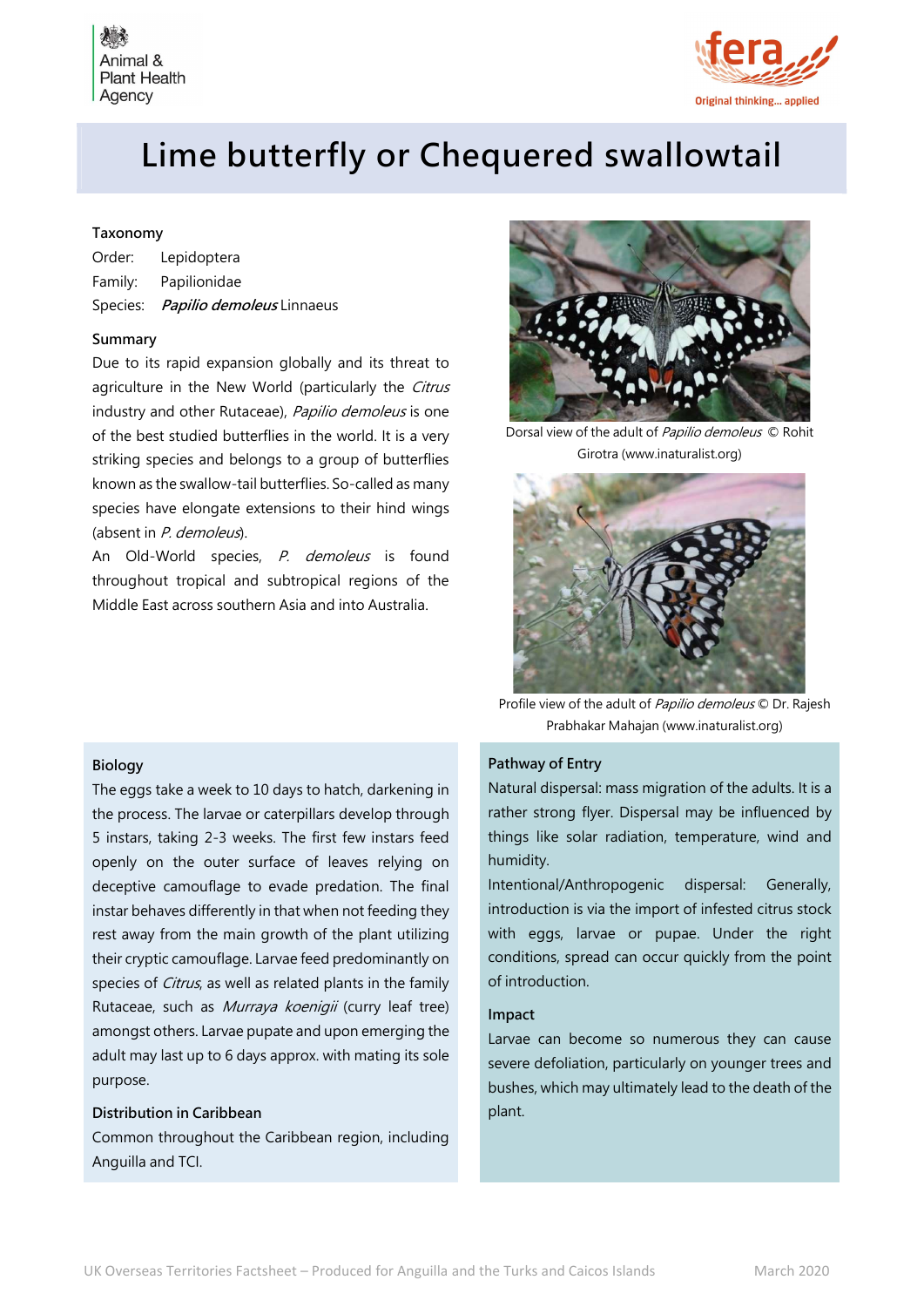



# Lime butterfly or Chequered swallowtail

# Taxonomy

| Order: | Lepidoptera                        |
|--------|------------------------------------|
|        | Family: Papilionidae               |
|        | Species: Papilio demoleus Linnaeus |

#### Summary

Due to its rapid expansion globally and its threat to agriculture in the New World (particularly the Citrus industry and other Rutaceae), Papilio demoleus is one of the best studied butterflies in the world. It is a very striking species and belongs to a group of butterflies known as the swallow-tail butterflies. So-called as many species have elongate extensions to their hind wings (absent in P. demoleus).

An Old-World species, P. demoleus is found throughout tropical and subtropical regions of the Middle East across southern Asia and into Australia.



Dorsal view of the adult of Papilio demoleus © Rohit Girotra (www.inaturalist.org)



Profile view of the adult of Papilio demoleus © Dr. Rajesh Prabhakar Mahajan (www.inaturalist.org)

## Pathway of Entry

Natural dispersal: mass migration of the adults. It is a rather strong flyer. Dispersal may be influenced by things like solar radiation, temperature, wind and humidity.

Intentional/Anthropogenic dispersal: Generally, introduction is via the import of infested citrus stock with eggs, larvae or pupae. Under the right conditions, spread can occur quickly from the point of introduction.

#### Impact

Larvae can become so numerous they can cause severe defoliation, particularly on younger trees and bushes, which may ultimately lead to the death of the plant.

### Biology

The eggs take a week to 10 days to hatch, darkening in the process. The larvae or caterpillars develop through 5 instars, taking 2-3 weeks. The first few instars feed openly on the outer surface of leaves relying on deceptive camouflage to evade predation. The final instar behaves differently in that when not feeding they rest away from the main growth of the plant utilizing their cryptic camouflage. Larvae feed predominantly on species of Citrus, as well as related plants in the family Rutaceae, such as Murraya koenigii (curry leaf tree) amongst others. Larvae pupate and upon emerging the adult may last up to 6 days approx. with mating its sole purpose.

## Distribution in Caribbean

Common throughout the Caribbean region, including Anguilla and TCI.